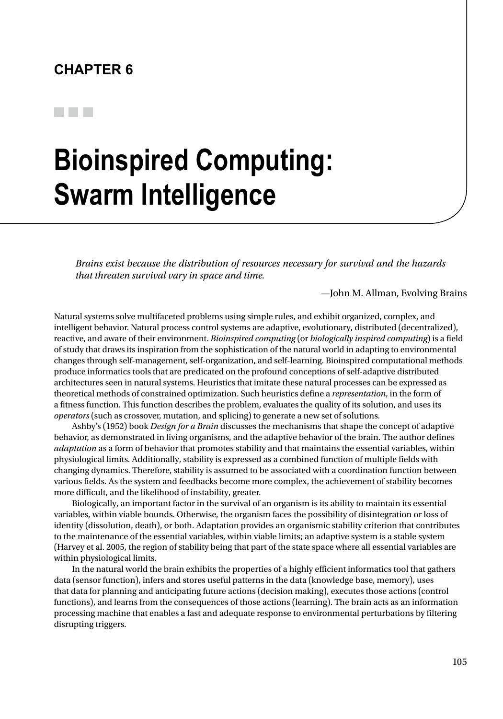### **Chapter 6**

# **Bioinspired Computing: Swarm Intelligence**

*Brains exist because the distribution of resources necessary for survival and the hazards that threaten survival vary in space and time.*

—John M. Allman, Evolving Brains

Natural systems solve multifaceted problems using simple rules, and exhibit organized, complex, and intelligent behavior. Natural process control systems are adaptive, evolutionary, distributed (decentralized), reactive, and aware of their environment. *Bioinspired computing* (or *biologically inspired computing*) is a field of study that draws its inspiration from the sophistication of the natural world in adapting to environmental changes through self-management, self-organization, and self-learning. Bioinspired computational methods produce informatics tools that are predicated on the profound conceptions of self-adaptive distributed architectures seen in natural systems. Heuristics that imitate these natural processes can be expressed as theoretical methods of constrained optimization. Such heuristics define a *representation*, in the form of a fitness function. This function describes the problem, evaluates the quality of its solution, and uses its *operators* (such as crossover, mutation, and splicing) to generate a new set of solutions.

Ashby's (1952) book *Design for a Brain* discusses the mechanisms that shape the concept of adaptive behavior, as demonstrated in living organisms, and the adaptive behavior of the brain. The author defines *adaptation* as a form of behavior that promotes stability and that maintains the essential variables, within physiological limits. Additionally, stability is expressed as a combined function of multiple fields with changing dynamics. Therefore, stability is assumed to be associated with a coordination function between various fields. As the system and feedbacks become more complex, the achievement of stability becomes more difficult, and the likelihood of instability, greater.

Biologically, an important factor in the survival of an organism is its ability to maintain its essential variables, within viable bounds. Otherwise, the organism faces the possibility of disintegration or loss of identity (dissolution, death), or both. Adaptation provides an organismic stability criterion that contributes to the maintenance of the essential variables, within viable limits; an adaptive system is a stable system (Harvey et al. 2005, the region of stability being that part of the state space where all essential variables are within physiological limits.

In the natural world the brain exhibits the properties of a highly efficient informatics tool that gathers data (sensor function), infers and stores useful patterns in the data (knowledge base, memory), uses that data for planning and anticipating future actions (decision making), executes those actions (control functions), and learns from the consequences of those actions (learning). The brain acts as an information processing machine that enables a fast and adequate response to environmental perturbations by filtering disrupting triggers.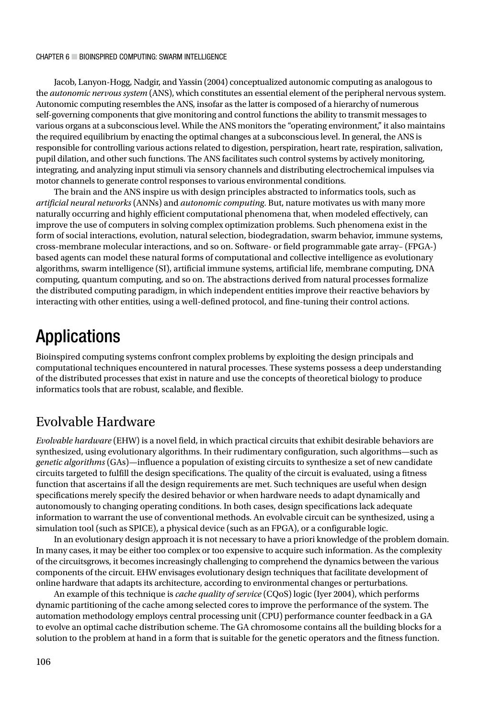Jacob, Lanyon-Hogg, Nadgir, and Yassin (2004) conceptualized autonomic computing as analogous to the *autonomic nervous system* (ANS), which constitutes an essential element of the peripheral nervous system. Autonomic computing resembles the ANS, insofar as the latter is composed of a hierarchy of numerous self-governing components that give monitoring and control functions the ability to transmit messages to various organs at a subconscious level. While the ANS monitors the "operating environment," it also maintains the required equilibrium by enacting the optimal changes at a subconscious level. In general, the ANS is responsible for controlling various actions related to digestion, perspiration, heart rate, respiration, salivation, pupil dilation, and other such functions. The ANS facilitates such control systems by actively monitoring, integrating, and analyzing input stimuli via sensory channels and distributing electrochemical impulses via motor channels to generate control responses to various environmental conditions.

The brain and the ANS inspire us with design principles abstracted to informatics tools, such as *artificial neural networks* (ANNs) and *autonomic computing*. But, nature motivates us with many more naturally occurring and highly efficient computational phenomena that, when modeled effectively, can improve the use of computers in solving complex optimization problems. Such phenomena exist in the form of social interactions, evolution, natural selection, biodegradation, swarm behavior, immune systems, cross-membrane molecular interactions, and so on. Software- or field programmable gate array– (FPGA-) based agents can model these natural forms of computational and collective intelligence as evolutionary algorithms, swarm intelligence (SI), artificial immune systems, artificial life, membrane computing, DNA computing, quantum computing, and so on. The abstractions derived from natural processes formalize the distributed computing paradigm, in which independent entities improve their reactive behaviors by interacting with other entities, using a well-defined protocol, and fine-tuning their control actions.

# Applications

Bioinspired computing systems confront complex problems by exploiting the design principals and computational techniques encountered in natural processes. These systems possess a deep understanding of the distributed processes that exist in nature and use the concepts of theoretical biology to produce informatics tools that are robust, scalable, and flexible.

### Evolvable Hardware

*Evolvable hardware* (EHW) is a novel field, in which practical circuits that exhibit desirable behaviors are synthesized, using evolutionary algorithms. In their rudimentary configuration, such algorithms—such as *genetic algorithms* (GAs)—influence a population of existing circuits to synthesize a set of new candidate circuits targeted to fulfill the design specifications. The quality of the circuit is evaluated, using a fitness function that ascertains if all the design requirements are met. Such techniques are useful when design specifications merely specify the desired behavior or when hardware needs to adapt dynamically and autonomously to changing operating conditions. In both cases, design specifications lack adequate information to warrant the use of conventional methods. An evolvable circuit can be synthesized, using a simulation tool (such as SPICE), a physical device (such as an FPGA), or a configurable logic.

In an evolutionary design approach it is not necessary to have a priori knowledge of the problem domain. In many cases, it may be either too complex or too expensive to acquire such information. As the complexity of the circuitsgrows, it becomes increasingly challenging to comprehend the dynamics between the various components of the circuit. EHW envisages evolutionary design techniques that facilitate development of online hardware that adapts its architecture, according to environmental changes or perturbations.

An example of this technique is *cache quality of service* (CQoS) logic (Iyer 2004), which performs dynamic partitioning of the cache among selected cores to improve the performance of the system. The automation methodology employs central processing unit (CPU) performance counter feedback in a GA to evolve an optimal cache distribution scheme. The GA chromosome contains all the building blocks for a solution to the problem at hand in a form that is suitable for the genetic operators and the fitness function.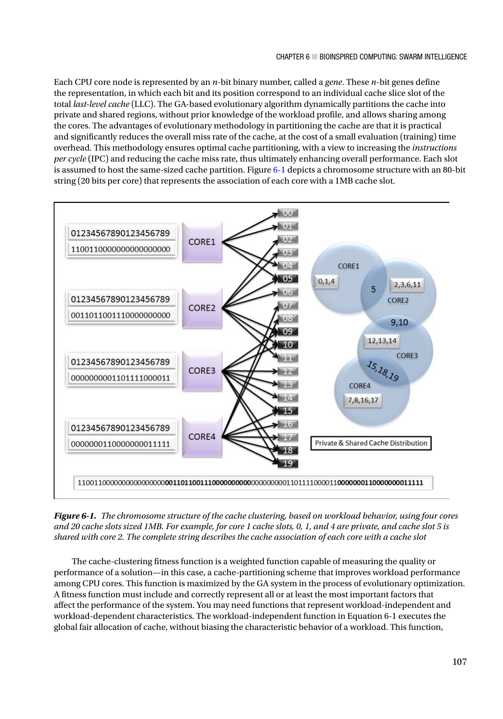Each CPU core node is represented by an *n*-bit binary number, called a *gene*. These *n*-bit genes define the representation, in which each bit and its position correspond to an individual cache slice slot of the total *last-level cache* (LLC). The GA-based evolutionary algorithm dynamically partitions the cache into private and shared regions, without prior knowledge of the workload profile, and allows sharing among the cores. The advantages of evolutionary methodology in partitioning the cache are that it is practical and significantly reduces the overall miss rate of the cache, at the cost of a small evaluation (training) time overhead. This methodology ensures optimal cache partitioning, with a view to increasing the *instructions per cycle* (IPC) and reducing the cache miss rate, thus ultimately enhancing overall performance. Each slot is assumed to host the same-sized cache partition. Figure [6-1](#page-2-0) depicts a chromosome structure with an 80-bit string (20 bits per core) that represents the association of each core with a 1MB cache slot.

<span id="page-2-0"></span>

*Figure 6-1. The chromosome structure of the cache clustering, based on workload behavior, using four cores and 20 cache slots sized 1MB. For example, for core 1 cache slots, 0, 1, and 4 are private, and cache slot 5 is shared with core 2. The complete string describes the cache association of each core with a cache slot*

The cache-clustering fitness function is a weighted function capable of measuring the quality or performance of a solution—in this case, a cache-partitioning scheme that improves workload performance among CPU cores. This function is maximized by the GA system in the process of evolutionary optimization. A fitness function must include and correctly represent all or at least the most important factors that affect the performance of the system. You may need functions that represent workload-independent and workload-dependent characteristics. The workload-independent function in Equation 6-1 executes the global fair allocation of cache, without biasing the characteristic behavior of a workload. This function,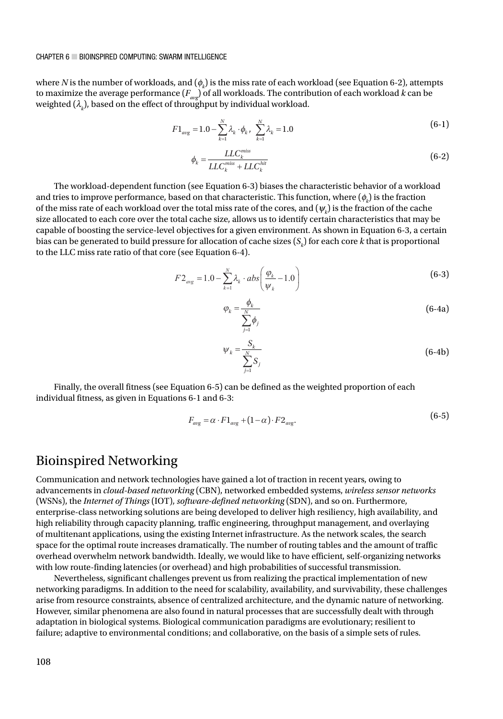where  $N$  is the number of workloads, and  $(\phi_{\scriptscriptstyle{k}})$  is the miss rate of each workload (see Equation 6-2), attempts to maximize the average performance (*Favg*) of all workloads. The contribution of each workload *k* can be weighted  $(\lambda_{k}^{\vphantom{\dagger}})$ , based on the effect of throughput by individual workload.

$$
F1_{avg} = 1.0 - \sum_{k=1}^{N} \lambda_k \cdot \phi_k, \ \sum_{k=1}^{N} \lambda_k = 1.0
$$
 (6-1)

$$
\phi_k = \frac{LLC_k^{miss}}{LLC_k^{mis} + LLC_k^{hit}}\tag{6-2}
$$

The workload-dependent function (see Equation 6-3) biases the characteristic behavior of a workload and tries to improve performance, based on that characteristic. This function, where  $(\phi_{k})$  is the fraction of the miss rate of each workload over the total miss rate of the cores, and  $(\psi_k)$  is the fraction of the cache size allocated to each core over the total cache size, allows us to identify certain characteristics that may be capable of boosting the service-level objectives for a given environment. As shown in Equation 6-3, a certain bias can be generated to build pressure for allocation of cache sizes  $(\mathcal{S}_k)$  for each core  $k$  that is proportional to the LLC miss rate ratio of that core (see Equation 6-4).

$$
F2_{avg} = 1.0 - \sum_{k=1}^{N} \lambda_k \cdot abs\left(\frac{\varphi_k}{\psi_k} - 1.0\right)
$$
 (6-3)

$$
\varphi_k = \frac{\phi_k}{\sum_{j=1}^N \phi_j} \tag{6-4a}
$$

$$
\psi_k = \frac{S_k}{\sum_{j=1}^N S_j} \tag{6-4b}
$$

Finally, the overall fitness (see Equation 6-5) can be defined as the weighted proportion of each individual fitness, as given in Equations 6-1 and 6-3:

$$
F_{avg} = \alpha \cdot F1_{avg} + (1 - \alpha) \cdot F2_{avg}.\tag{6-5}
$$

### Bioinspired Networking

Communication and network technologies have gained a lot of traction in recent years, owing to advancements in *cloud-based networking* (CBN), networked embedded systems, *wireless sensor networks* (WSNs), the *Internet of Things* (IOT), *software-defined networking* (SDN), and so on. Furthermore, enterprise-class networking solutions are being developed to deliver high resiliency, high availability, and high reliability through capacity planning, traffic engineering, throughput management, and overlaying of multitenant applications, using the existing Internet infrastructure. As the network scales, the search space for the optimal route increases dramatically. The number of routing tables and the amount of traffic overhead overwhelm network bandwidth. Ideally, we would like to have efficient, self-organizing networks with low route-finding latencies (or overhead) and high probabilities of successful transmission.

Nevertheless, significant challenges prevent us from realizing the practical implementation of new networking paradigms. In addition to the need for scalability, availability, and survivability, these challenges arise from resource constraints, absence of centralized architecture, and the dynamic nature of networking. However, similar phenomena are also found in natural processes that are successfully dealt with through adaptation in biological systems. Biological communication paradigms are evolutionary; resilient to failure; adaptive to environmental conditions; and collaborative, on the basis of a simple sets of rules.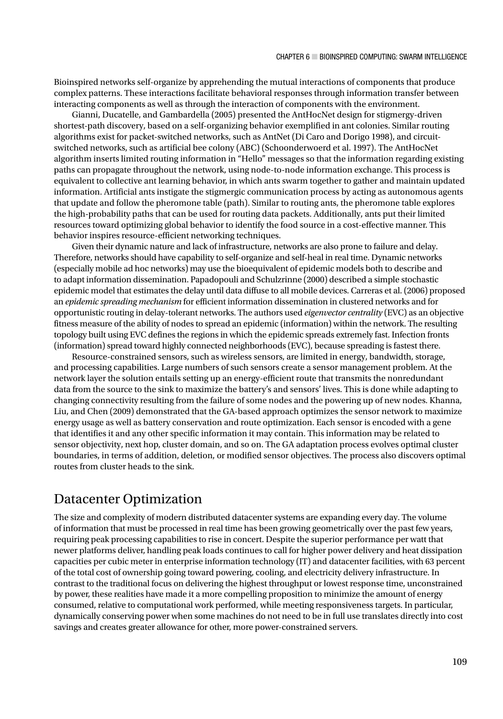Bioinspired networks self-organize by apprehending the mutual interactions of components that produce complex patterns. These interactions facilitate behavioral responses through information transfer between interacting components as well as through the interaction of components with the environment.

Gianni, Ducatelle, and Gambardella (2005) presented the AntHocNet design for stigmergy-driven shortest-path discovery, based on a self-organizing behavior exemplified in ant colonies. Similar routing algorithms exist for packet-switched networks, such as AntNet (Di Caro and Dorigo 1998), and circuitswitched networks, such as artificial bee colony (ABC) (Schoonderwoerd et al. 1997). The AntHocNet algorithm inserts limited routing information in "Hello" messages so that the information regarding existing paths can propagate throughout the network, using node-to-node information exchange. This process is equivalent to collective ant learning behavior, in which ants swarm together to gather and maintain updated information. Artificial ants instigate the stigmergic communication process by acting as autonomous agents that update and follow the pheromone table (path). Similar to routing ants, the pheromone table explores the high-probability paths that can be used for routing data packets. Additionally, ants put their limited resources toward optimizing global behavior to identify the food source in a cost-effective manner. This behavior inspires resource-efficient networking techniques.

Given their dynamic nature and lack of infrastructure, networks are also prone to failure and delay. Therefore, networks should have capability to self-organize and self-heal in real time. Dynamic networks (especially mobile ad hoc networks) may use the bioequivalent of epidemic models both to describe and to adapt information dissemination. Papadopouli and Schulzrinne (2000) described a simple stochastic epidemic model that estimates the delay until data diffuse to all mobile devices. Carreras et al. (2006) proposed an *epidemic spreading mechanism* for efficient information dissemination in clustered networks and for opportunistic routing in delay-tolerant networks. The authors used *eigenvector centrality* (EVC) as an objective fitness measure of the ability of nodes to spread an epidemic (information) within the network. The resulting topology built using EVC defines the regions in which the epidemic spreads extremely fast. Infection fronts (information) spread toward highly connected neighborhoods (EVC), because spreading is fastest there.

Resource-constrained sensors, such as wireless sensors, are limited in energy, bandwidth, storage, and processing capabilities. Large numbers of such sensors create a sensor management problem. At the network layer the solution entails setting up an energy-efficient route that transmits the nonredundant data from the source to the sink to maximize the battery's and sensors' lives. This is done while adapting to changing connectivity resulting from the failure of some nodes and the powering up of new nodes. Khanna, Liu, and Chen (2009) demonstrated that the GA-based approach optimizes the sensor network to maximize energy usage as well as battery conservation and route optimization. Each sensor is encoded with a gene that identifies it and any other specific information it may contain. This information may be related to sensor objectivity, next hop, cluster domain, and so on. The GA adaptation process evolves optimal cluster boundaries, in terms of addition, deletion, or modified sensor objectives. The process also discovers optimal routes from cluster heads to the sink.

### Datacenter Optimization

The size and complexity of modern distributed datacenter systems are expanding every day. The volume of information that must be processed in real time has been growing geometrically over the past few years, requiring peak processing capabilities to rise in concert. Despite the superior performance per watt that newer platforms deliver, handling peak loads continues to call for higher power delivery and heat dissipation capacities per cubic meter in enterprise information technology (IT) and datacenter facilities, with 63 percent of the total cost of ownership going toward powering, cooling, and electricity delivery infrastructure. In contrast to the traditional focus on delivering the highest throughput or lowest response time, unconstrained by power, these realities have made it a more compelling proposition to minimize the amount of energy consumed, relative to computational work performed, while meeting responsiveness targets. In particular, dynamically conserving power when some machines do not need to be in full use translates directly into cost savings and creates greater allowance for other, more power-constrained servers.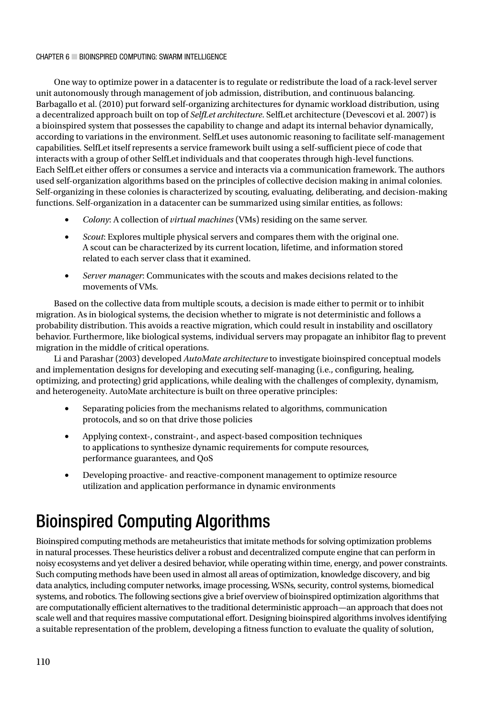One way to optimize power in a datacenter is to regulate or redistribute the load of a rack-level server unit autonomously through management of job admission, distribution, and continuous balancing. Barbagallo et al. (2010) put forward self-organizing architectures for dynamic workload distribution, using a decentralized approach built on top of *SelfLet architecture*. SelfLet architecture (Devescovi et al. 2007) is a bioinspired system that possesses the capability to change and adapt its internal behavior dynamically, according to variations in the environment. SelfLet uses autonomic reasoning to facilitate self-management capabilities. SelfLet itself represents a service framework built using a self-sufficient piece of code that interacts with a group of other SelfLet individuals and that cooperates through high-level functions. Each SelfLet either offers or consumes a service and interacts via a communication framework. The authors used self-organization algorithms based on the principles of collective decision making in animal colonies. Self-organizing in these colonies is characterized by scouting, evaluating, deliberating, and decision-making functions. Self-organization in a datacenter can be summarized using similar entities, as follows:

- *Colony:* A collection of *virtual machines* (VMs) residing on the same server.
- • *Scout*: Explores multiple physical servers and compares them with the original one. A scout can be characterized by its current location, lifetime, and information stored related to each server class that it examined.
- Server manager: Communicates with the scouts and makes decisions related to the movements of VMs.

Based on the collective data from multiple scouts, a decision is made either to permit or to inhibit migration. As in biological systems, the decision whether to migrate is not deterministic and follows a probability distribution. This avoids a reactive migration, which could result in instability and oscillatory behavior. Furthermore, like biological systems, individual servers may propagate an inhibitor flag to prevent migration in the middle of critical operations.

Li and Parashar (2003) developed *AutoMate architecture* to investigate bioinspired conceptual models and implementation designs for developing and executing self-managing (i.e., configuring, healing, optimizing, and protecting) grid applications, while dealing with the challenges of complexity, dynamism, and heterogeneity. AutoMate architecture is built on three operative principles:

- Separating policies from the mechanisms related to algorithms, communication protocols, and so on that drive those policies
- Applying context-, constraint-, and aspect-based composition techniques to applications to synthesize dynamic requirements for compute resources, performance guarantees, and QoS
- Developing proactive- and reactive-component management to optimize resource utilization and application performance in dynamic environments

# Bioinspired Computing Algorithms

Bioinspired computing methods are metaheuristics that imitate methods for solving optimization problems in natural processes. These heuristics deliver a robust and decentralized compute engine that can perform in noisy ecosystems and yet deliver a desired behavior, while operating within time, energy, and power constraints. Such computing methods have been used in almost all areas of optimization, knowledge discovery, and big data analytics, including computer networks, image processing, WSNs, security, control systems, biomedical systems, and robotics. The following sections give a brief overview of bioinspired optimization algorithms that are computationally efficient alternatives to the traditional deterministic approach—an approach that does not scale well and that requires massive computational effort. Designing bioinspired algorithms involves identifying a suitable representation of the problem, developing a fitness function to evaluate the quality of solution,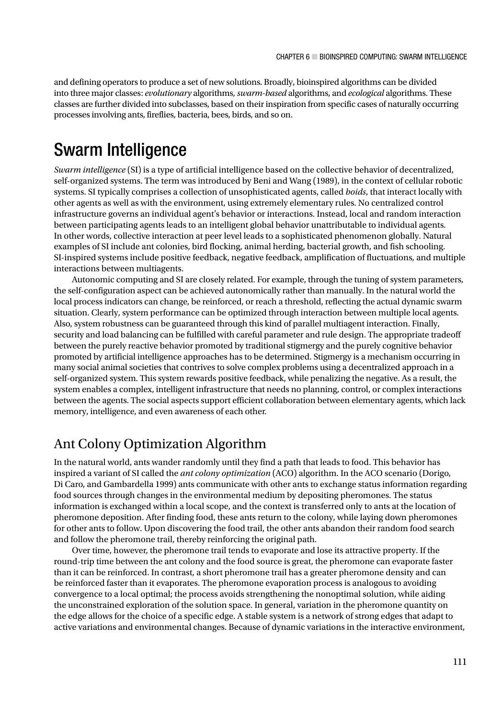and defining operators to produce a set of new solutions. Broadly, bioinspired algorithms can be divided into three major classes: *evolutionary* algorithms*, swarm-based* algorithms, and *ecological* algorithms. These classes are further divided into subclasses, based on their inspiration from specific cases of naturally occurring processes involving ants, fireflies, bacteria, bees, birds, and so on.

# Swarm Intelligence

*Swarm intelligence* (SI) is a type of artificial intelligence based on the collective behavior of decentralized, self-organized systems. The term was introduced by Beni and Wang (1989), in the context of cellular robotic systems. SI typically comprises a collection of unsophisticated agents, called *boids*, that interact locally with other agents as well as with the environment, using extremely elementary rules. No centralized control infrastructure governs an individual agent's behavior or interactions. Instead, local and random interaction between participating agents leads to an intelligent global behavior unattributable to individual agents. In other words, collective interaction at peer level leads to a sophisticated phenomenon globally. Natural examples of SI include ant colonies, bird flocking, animal herding, bacterial growth, and fish schooling. SI-inspired systems include positive feedback, negative feedback, amplification of fluctuations, and multiple interactions between multiagents.

Autonomic computing and SI are closely related. For example, through the tuning of system parameters, the self-configuration aspect can be achieved autonomically rather than manually. In the natural world the local process indicators can change, be reinforced, or reach a threshold, reflecting the actual dynamic swarm situation. Clearly, system performance can be optimized through interaction between multiple local agents. Also, system robustness can be guaranteed through this kind of parallel multiagent interaction. Finally, security and load balancing can be fulfilled with careful parameter and rule design. The appropriate tradeoff between the purely reactive behavior promoted by traditional stigmergy and the purely cognitive behavior promoted by artificial intelligence approaches has to be determined. Stigmergy is a mechanism occurring in many social animal societies that contrives to solve complex problems using a decentralized approach in a self-organized system. This system rewards positive feedback, while penalizing the negative. As a result, the system enables a complex, intelligent infrastructure that needs no planning, control, or complex interactions between the agents. The social aspects support efficient collaboration between elementary agents, which lack memory, intelligence, and even awareness of each other.

### Ant Colony Optimization Algorithm

In the natural world, ants wander randomly until they find a path that leads to food. This behavior has inspired a variant of SI called the *ant colony optimization* (ACO) algorithm. In the ACO scenario (Dorigo, Di Caro, and Gambardella 1999) ants communicate with other ants to exchange status information regarding food sources through changes in the environmental medium by depositing pheromones. The status information is exchanged within a local scope, and the context is transferred only to ants at the location of pheromone deposition. After finding food, these ants return to the colony, while laying down pheromones for other ants to follow. Upon discovering the food trail, the other ants abandon their random food search and follow the pheromone trail, thereby reinforcing the original path.

Over time, however, the pheromone trail tends to evaporate and lose its attractive property. If the round-trip time between the ant colony and the food source is great, the pheromone can evaporate faster than it can be reinforced. In contrast, a short pheromone trail has a greater pheromone density and can be reinforced faster than it evaporates. The pheromone evaporation process is analogous to avoiding convergence to a local optimal; the process avoids strengthening the nonoptimal solution, while aiding the unconstrained exploration of the solution space. In general, variation in the pheromone quantity on the edge allows for the choice of a specific edge. A stable system is a network of strong edges that adapt to active variations and environmental changes. Because of dynamic variations in the interactive environment,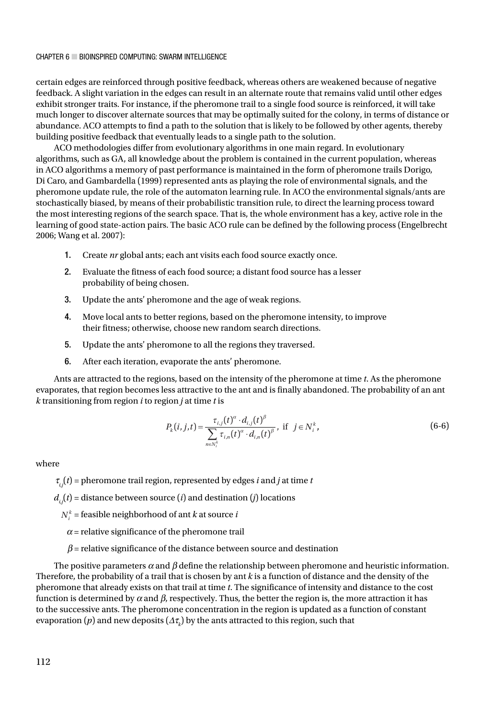certain edges are reinforced through positive feedback, whereas others are weakened because of negative feedback. A slight variation in the edges can result in an alternate route that remains valid until other edges exhibit stronger traits. For instance, if the pheromone trail to a single food source is reinforced, it will take much longer to discover alternate sources that may be optimally suited for the colony, in terms of distance or abundance. ACO attempts to find a path to the solution that is likely to be followed by other agents, thereby building positive feedback that eventually leads to a single path to the solution.

ACO methodologies differ from evolutionary algorithms in one main regard. In evolutionary algorithms, such as GA, all knowledge about the problem is contained in the current population, whereas in ACO algorithms a memory of past performance is maintained in the form of pheromone trails Dorigo, Di Caro, and Gambardella (1999) represented ants as playing the role of environmental signals, and the pheromone update rule, the role of the automaton learning rule. In ACO the environmental signals/ants are stochastically biased, by means of their probabilistic transition rule, to direct the learning process toward the most interesting regions of the search space. That is, the whole environment has a key, active role in the learning of good state-action pairs. The basic ACO rule can be defined by the following process (Engelbrecht 2006; Wang et al. 2007):

- 1. Create *nr* global ants; each ant visits each food source exactly once.
- 2. Evaluate the fitness of each food source; a distant food source has a lesser probability of being chosen.
- 3. Update the ants' pheromone and the age of weak regions.
- 4. Move local ants to better regions, based on the pheromone intensity, to improve their fitness; otherwise, choose new random search directions.
- 5. Update the ants' pheromone to all the regions they traversed.
- 6. After each iteration, evaporate the ants' pheromone.

Ants are attracted to the regions, based on the intensity of the pheromone at time *t*. As the pheromone evaporates, that region becomes less attractive to the ant and is finally abandoned. The probability of an ant *k* transitioning from region *i* to region *j* at time *t* is

$$
P_k(i,j,t) = \frac{\tau_{i,j}(t)^{\alpha} \cdot d_{i,j}(t)^{\beta}}{\sum_{n \in N_i^k} \tau_{i,n}(t)^{\alpha} \cdot d_{i,n}(t)^{\beta}}, \text{ if } j \in N_i^k,
$$
\n(6-6)

where

 $\tau_i(t)$  = pheromone trail region, represented by edges *i* and *j* at time *t* 

 $d_i$ <sub>i</sub> $(t)$  = distance between source  $(i)$  and destination  $(i)$  locations

 $N_i^k$  = feasible neighborhood of ant  $k$  at source  $i$ 

 $\alpha$  = relative significance of the pheromone trail

 $\beta$  = relative significance of the distance between source and destination

The positive parameters  $\alpha$  and  $\beta$  define the relationship between pheromone and heuristic information. Therefore, the probability of a trail that is chosen by ant *k* is a function of distance and the density of the pheromone that already exists on that trail at time *t*. The significance of intensity and distance to the cost function is determined by  $\alpha$  and  $\beta$ , respectively. Thus, the better the region is, the more attraction it has to the successive ants. The pheromone concentration in the region is updated as a function of constant evaporation  $(p)$  and new deposits  $(\varLambda \tau_{_{\! k}})$  by the ants attracted to this region, such that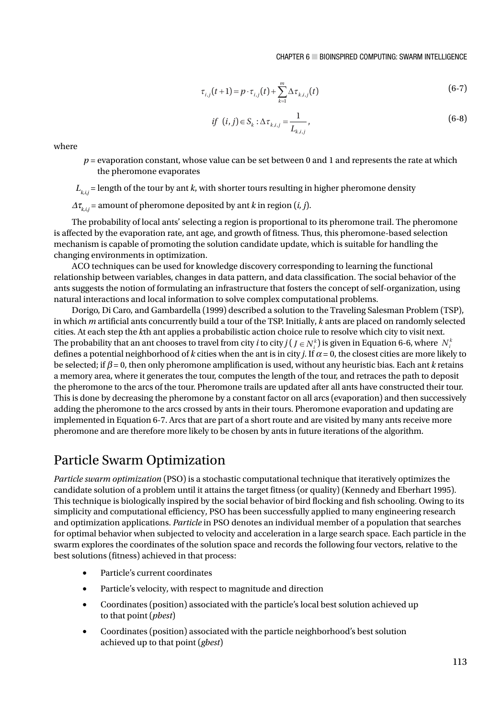$$
\tau_{i,j}(t+1) = p \cdot \tau_{i,j}(t) + \sum_{k=1}^{m} \Delta \tau_{k,i,j}(t)
$$
\n(6-7)

$$
if (i, j) \in S_k : \Delta \tau_{k,i,j} = \frac{1}{L_{k,i,j}},
$$
\n(6-8)

where

- $p =$  evaporation constant, whose value can be set between 0 and 1 and represents the rate at which the pheromone evaporates
- $L_{k,i,j}$  = length of the tour by ant *k*, with shorter tours resulting in higher pheromone density

 $\Delta \tau_{k}$  = amount of pheromone deposited by ant *k* in region (*i, j*).

The probability of local ants' selecting a region is proportional to its pheromone trail. The pheromone is affected by the evaporation rate, ant age, and growth of fitness. Thus, this pheromone-based selection mechanism is capable of promoting the solution candidate update, which is suitable for handling the changing environments in optimization.

ACO techniques can be used for knowledge discovery corresponding to learning the functional relationship between variables, changes in data pattern, and data classification. The social behavior of the ants suggests the notion of formulating an infrastructure that fosters the concept of self-organization, using natural interactions and local information to solve complex computational problems.

Dorigo, Di Caro, and Gambardella (1999) described a solution to the Traveling Salesman Problem (TSP), in which *m* artificial ants concurrently build a tour of the TSP. Initially, *k* ants are placed on randomly selected cities. At each step the *k*th ant applies a probabilistic action choice rule to resolve which city to visit next. The probability that an ant chooses to travel from city *i* to city *j* (  $J \in N_i^k$ ) is given in Equation 6-6, where  $N_i^k$ defines a potential neighborhood of *k* cities when the ant is in city *j*. If  $\alpha$  = 0, the closest cities are more likely to be selected; if  $\beta = 0$ , then only pheromone amplification is used, without any heuristic bias. Each ant *k* retains a memory area, where it generates the tour, computes the length of the tour, and retraces the path to deposit the pheromone to the arcs of the tour. Pheromone trails are updated after all ants have constructed their tour. This is done by decreasing the pheromone by a constant factor on all arcs (evaporation) and then successively adding the pheromone to the arcs crossed by ants in their tours. Pheromone evaporation and updating are implemented in Equation 6-7. Arcs that are part of a short route and are visited by many ants receive more pheromone and are therefore more likely to be chosen by ants in future iterations of the algorithm.

### Particle Swarm Optimization

*Particle swarm optimization* (PSO) is a stochastic computational technique that iteratively optimizes the candidate solution of a problem until it attains the target fitness (or quality) (Kennedy and Eberhart 1995). This technique is biologically inspired by the social behavior of bird flocking and fish schooling. Owing to its simplicity and computational efficiency, PSO has been successfully applied to many engineering research and optimization applications. *Particle* in PSO denotes an individual member of a population that searches for optimal behavior when subjected to velocity and acceleration in a large search space. Each particle in the swarm explores the coordinates of the solution space and records the following four vectors, relative to the best solutions (fitness) achieved in that process:

- Particle's current coordinates
- • Particle's velocity, with respect to magnitude and direction
- Coordinates (position) associated with the particle's local best solution achieved up to that point (*pbest*)
- • Coordinates (position) associated with the particle neighborhood's best solution achieved up to that point (*gbest*)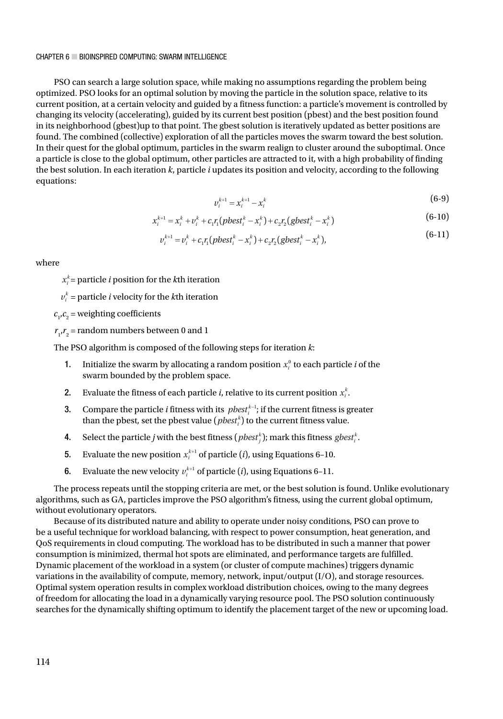PSO can search a large solution space, while making no assumptions regarding the problem being optimized. PSO looks for an optimal solution by moving the particle in the solution space, relative to its current position, at a certain velocity and guided by a fitness function: a particle's movement is controlled by changing its velocity (accelerating), guided by its current best position (pbest) and the best position found in its neighborhood (gbest)up to that point. The gbest solution is iteratively updated as better positions are found. The combined (collective) exploration of all the particles moves the swarm toward the best solution. In their quest for the global optimum, particles in the swarm realign to cluster around the suboptimal. Once a particle is close to the global optimum, other particles are attracted to it, with a high probability of finding the best solution. In each iteration *k*, particle *i* updates its position and velocity, according to the following equations:

$$
v_i^{k+1} = x_i^{k+1} - x_i^k \tag{6-9}
$$

$$
x_i^{k+1} = x_i^k + v_i^k + c_i r_i (pbest_i^k - x_i^k) + c_2 r_2 (sbest_i^k - x_i^k)
$$
(6-10)

$$
v_i^{k+1} = v_i^k + c_1 r_1 (pbest_i^k - x_i^k) + c_2 r_2 (gbest_i^k - x_i^k),
$$
\n(6-11)

where

 $x_i^k$ = particle *i* position for the *k*th iteration

 $v_i^k$  = particle *i* velocity for the *k*th iteration

 $c_1$ ,  $c_2$  = weighting coefficients

 $r_{1}$ , $r_{2}$  = random numbers between 0 and 1

The PSO algorithm is composed of the following steps for iteration *k*:

- **1.** Initialize the swarm by allocating a random position  $x_i^0$  to each particle *i* of the swarm bounded by the problem space.
- 2. Evaluate the fitness of each particle *i*, relative to its current position  $x_i^k$ .
- 3. Compare the particle *i* fitness with its  $pbest_i^{k-1}$ ; if the current fitness is greater than the pbest, set the pbest value ( $\mathit{pbest}_i^k$ ) to the current fitness value.
- **4.** Select the particle *j* with the best fitness (*pbest<sup>k</sup>*</sup>); mark this fitness *gbest<sup>k</sup>*.
- **5.** Evaluate the new position  $x_i^{k+1}$  of particle  $(i)$ , using Equations 6–10.
- **6.** Evaluate the new velocity  $v_i^{k+1}$  of particle (*i*), using Equations 6–11.

The process repeats until the stopping criteria are met, or the best solution is found. Unlike evolutionary algorithms, such as GA, particles improve the PSO algorithm's fitness, using the current global optimum, without evolutionary operators.

Because of its distributed nature and ability to operate under noisy conditions, PSO can prove to be a useful technique for workload balancing, with respect to power consumption, heat generation, and QoS requirements in cloud computing. The workload has to be distributed in such a manner that power consumption is minimized, thermal hot spots are eliminated, and performance targets are fulfilled. Dynamic placement of the workload in a system (or cluster of compute machines) triggers dynamic variations in the availability of compute, memory, network, input/output (I/O), and storage resources. Optimal system operation results in complex workload distribution choices, owing to the many degrees of freedom for allocating the load in a dynamically varying resource pool. The PSO solution continuously searches for the dynamically shifting optimum to identify the placement target of the new or upcoming load.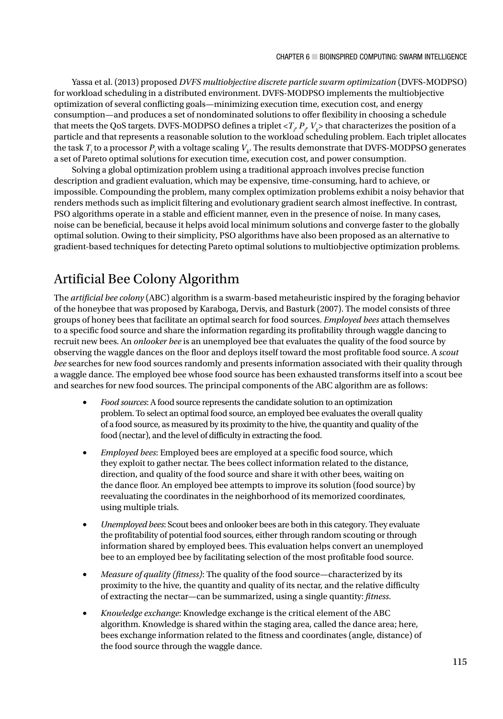Yassa et al. (2013) proposed *DVFS multiobjective discrete particle swarm optimization* (DVFS-MODPSO) for workload scheduling in a distributed environment. DVFS-MODPSO implements the multiobjective optimization of several conflicting goals—minimizing execution time, execution cost, and energy consumption—and produces a set of nondominated solutions to offer flexibility in choosing a schedule that meets the QoS targets. DVFS-MODPSO defines a triplet  $that characterizes the position of a$ particle and that represents a reasonable solution to the workload scheduling problem. Each triplet allocates the task  $T_i$  to a processor  $P_j$  with a voltage scaling  $V_k$ . The results demonstrate that DVFS-MODPSO generates a set of Pareto optimal solutions for execution time, execution cost, and power consumption.

Solving a global optimization problem using a traditional approach involves precise function description and gradient evaluation, which may be expensive, time-consuming, hard to achieve, or impossible. Compounding the problem, many complex optimization problems exhibit a noisy behavior that renders methods such as implicit filtering and evolutionary gradient search almost ineffective. In contrast, PSO algorithms operate in a stable and efficient manner, even in the presence of noise. In many cases, noise can be beneficial, because it helps avoid local minimum solutions and converge faster to the globally optimal solution. Owing to their simplicity, PSO algorithms have also been proposed as an alternative to gradient-based techniques for detecting Pareto optimal solutions to multiobjective optimization problems.

# Artificial Bee Colony Algorithm

The *artificial bee colony* (ABC) algorithm is a swarm-based metaheuristic inspired by the foraging behavior of the honeybee that was proposed by Karaboga, Dervis, and Basturk (2007). The model consists of three groups of honey bees that facilitate an optimal search for food sources. *Employed bees* attach themselves to a specific food source and share the information regarding its profitability through waggle dancing to recruit new bees. An *onlooker bee* is an unemployed bee that evaluates the quality of the food source by observing the waggle dances on the floor and deploys itself toward the most profitable food source. A *scout bee* searches for new food sources randomly and presents information associated with their quality through a waggle dance. The employed bee whose food source has been exhausted transforms itself into a scout bee and searches for new food sources. The principal components of the ABC algorithm are as follows:

- Food sources: A food source represents the candidate solution to an optimization problem. To select an optimal food source, an employed bee evaluates the overall quality of a food source, as measured by its proximity to the hive, the quantity and quality of the food (nectar), and the level of difficulty in extracting the food.
- *Employed bees:* Employed bees are employed at a specific food source, which they exploit to gather nectar. The bees collect information related to the distance, direction, and quality of the food source and share it with other bees, waiting on the dance floor. An employed bee attempts to improve its solution (food source) by reevaluating the coordinates in the neighborhood of its memorized coordinates, using multiple trials.
- • *Unemployed bees*: Scout bees and onlooker bees are both in this category. They evaluate the profitability of potential food sources, either through random scouting or through information shared by employed bees. This evaluation helps convert an unemployed bee to an employed bee by facilitating selection of the most profitable food source.
- *Measure of quality (fitness)*: The quality of the food source—characterized by its proximity to the hive, the quantity and quality of its nectar, and the relative difficulty of extracting the nectar—can be summarized, using a single quantity: *fitness*.
- Knowledge exchange: Knowledge exchange is the critical element of the ABC algorithm. Knowledge is shared within the staging area, called the dance area; here, bees exchange information related to the fitness and coordinates (angle, distance) of the food source through the waggle dance.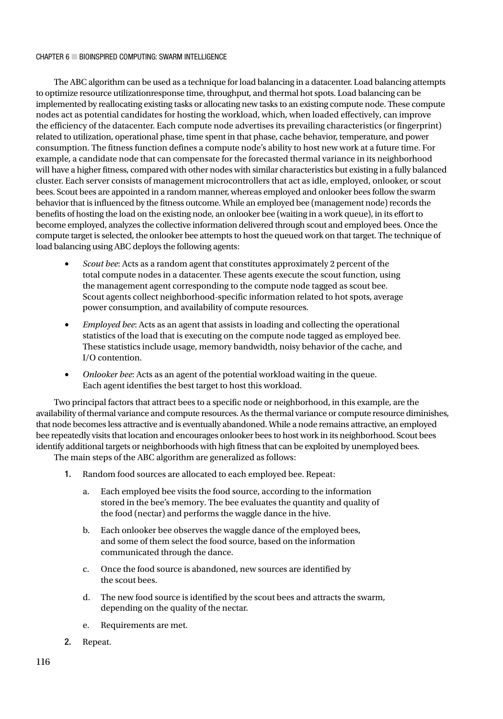The ABC algorithm can be used as a technique for load balancing in a datacenter. Load balancing attempts to optimize resource utilizationresponse time, throughput, and thermal hot spots. Load balancing can be implemented by reallocating existing tasks or allocating new tasks to an existing compute node. These compute nodes act as potential candidates for hosting the workload, which, when loaded effectively, can improve the efficiency of the datacenter. Each compute node advertises its prevailing characteristics (or fingerprint) related to utilization, operational phase, time spent in that phase, cache behavior, temperature, and power consumption. The fitness function defines a compute node's ability to host new work at a future time. For example, a candidate node that can compensate for the forecasted thermal variance in its neighborhood will have a higher fitness, compared with other nodes with similar characteristics but existing in a fully balanced cluster. Each server consists of management microcontrollers that act as idle, employed, onlooker, or scout bees. Scout bees are appointed in a random manner, whereas employed and onlooker bees follow the swarm behavior that is influenced by the fitness outcome. While an employed bee (management node) records the benefits of hosting the load on the existing node, an onlooker bee (waiting in a work queue), in its effort to become employed, analyzes the collective information delivered through scout and employed bees. Once the compute target is selected, the onlooker bee attempts to host the queued work on that target. The technique of load balancing using ABC deploys the following agents:

- *Scout bee:* Acts as a random agent that constitutes approximately 2 percent of the total compute nodes in a datacenter. These agents execute the scout function, using the management agent corresponding to the compute node tagged as scout bee. Scout agents collect neighborhood-specific information related to hot spots, average power consumption, and availability of compute resources.
- *Employed bee*: Acts as an agent that assists in loading and collecting the operational statistics of the load that is executing on the compute node tagged as employed bee. These statistics include usage, memory bandwidth, noisy behavior of the cache, and I/O contention.
- Onlooker bee: Acts as an agent of the potential workload waiting in the queue. Each agent identifies the best target to host this workload.

Two principal factors that attract bees to a specific node or neighborhood, in this example, are the availability of thermal variance and compute resources. As the thermal variance or compute resource diminishes, that node becomes less attractive and is eventually abandoned. While a node remains attractive, an employed bee repeatedly visits that location and encourages onlooker bees to host work in its neighborhood. Scout bees identify additional targets or neighborhoods with high fitness that can be exploited by unemployed bees. The main steps of the ABC algorithm are generalized as follows:

- 1. Random food sources are allocated to each employed bee. Repeat:
	- a. Each employed bee visits the food source, according to the information stored in the bee's memory. The bee evaluates the quantity and quality of the food (nectar) and performs the waggle dance in the hive.
	- b. Each onlooker bee observes the waggle dance of the employed bees, and some of them select the food source, based on the information communicated through the dance.
	- c. Once the food source is abandoned, new sources are identified by the scout bees.
	- d. The new food source is identified by the scout bees and attracts the swarm, depending on the quality of the nectar.
	- e. Requirements are met.
- 2. Repeat.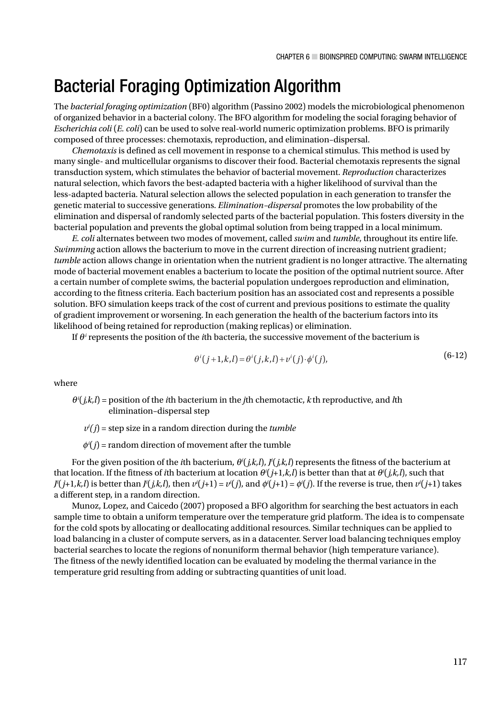# Bacterial Foraging Optimization Algorithm

The *bacterial foraging optimization* (BF0) algorithm (Passino 2002) models the microbiological phenomenon of organized behavior in a bacterial colony. The BFO algorithm for modeling the social foraging behavior of *Escherichia coli* (*E. coli*) can be used to solve real-world numeric optimization problems. BFO is primarily composed of three processes: chemotaxis, reproduction, and elimination–dispersal.

*Chemotaxis* is defined as cell movement in response to a chemical stimulus. This method is used by many single- and multicellular organisms to discover their food. Bacterial chemotaxis represents the signal transduction system, which stimulates the behavior of bacterial movement. *Reproduction* characterizes natural selection, which favors the best-adapted bacteria with a higher likelihood of survival than the less-adapted bacteria. Natural selection allows the selected population in each generation to transfer the genetic material to successive generations. *Elimination–dispersal* promotes the low probability of the elimination and dispersal of randomly selected parts of the bacterial population. This fosters diversity in the bacterial population and prevents the global optimal solution from being trapped in a local minimum.

*E. coli* alternates between two modes of movement, called *swim* and *tumble*, throughout its entire life. *Swimming* action allows the bacterium to move in the current direction of increasing nutrient gradient; *tumble* action allows change in orientation when the nutrient gradient is no longer attractive. The alternating mode of bacterial movement enables a bacterium to locate the position of the optimal nutrient source. After a certain number of complete swims, the bacterial population undergoes reproduction and elimination, according to the fitness criteria. Each bacterium position has an associated cost and represents a possible solution. BFO simulation keeps track of the cost of current and previous positions to estimate the quality of gradient improvement or worsening. In each generation the health of the bacterium factors into its likelihood of being retained for reproduction (making replicas) or elimination.

If  $\theta^i$  represents the position of the *i*th bacteria, the successive movement of the bacterium is

$$
\theta^{i}(j+1,k,l) = \theta^{i}(j,k,l) + \nu^{i}(j) \cdot \phi^{i}(j), \tag{6-12}
$$

where

 $\theta^i(j,k,l)$  = position of the *i*th bacterium in the *j*th chemotactic, *k* th reproductive, and *l*th elimination–dispersal step

 $v^{i}(j)$  = step size in a random direction during the *tumble* 

 $\phi^{i}(j)$  = random direction of movement after the tumble

For the given position of the *i*th bacterium,  $\theta^{i}(j,k,l)$ ,  $J^{i}(j,k,l)$  represents the fitness of the bacterium at that location. If the fitness of *i*th bacterium at location  $\theta^i(j+1,k,l)$  is better than that at  $\theta^i(j,k,l)$ , such that  $J^i(j+1,k,l)$  is better than  $J^i(j,k,l)$ , then  $v^i(j+1)=v^i(j)$ , and  $\phi^i(j+1)=\phi^i(j)$ . If the reverse is true, then  $v^i(j+1)$  takes a different step, in a random direction.

Munoz, Lopez, and Caicedo (2007) proposed a BFO algorithm for searching the best actuators in each sample time to obtain a uniform temperature over the temperature grid platform. The idea is to compensate for the cold spots by allocating or deallocating additional resources. Similar techniques can be applied to load balancing in a cluster of compute servers, as in a datacenter. Server load balancing techniques employ bacterial searches to locate the regions of nonuniform thermal behavior (high temperature variance). The fitness of the newly identified location can be evaluated by modeling the thermal variance in the temperature grid resulting from adding or subtracting quantities of unit load.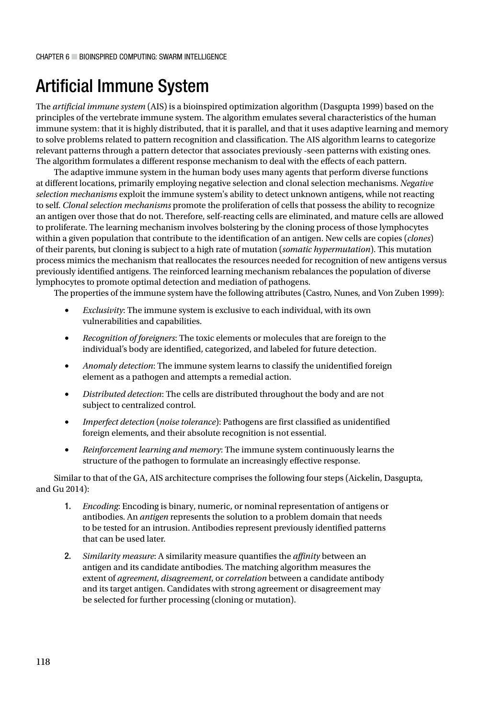# Artificial Immune System

The *artificial immune system* (AIS) is a bioinspired optimization algorithm (Dasgupta 1999) based on the principles of the vertebrate immune system. The algorithm emulates several characteristics of the human immune system: that it is highly distributed, that it is parallel, and that it uses adaptive learning and memory to solve problems related to pattern recognition and classification. The AIS algorithm learns to categorize relevant patterns through a pattern detector that associates previously -seen patterns with existing ones. The algorithm formulates a different response mechanism to deal with the effects of each pattern.

The adaptive immune system in the human body uses many agents that perform diverse functions at different locations, primarily employing negative selection and clonal selection mechanisms. *Negative selection mechanisms* exploit the immune system's ability to detect unknown antigens, while not reacting to self. *Clonal selection mechanisms* promote the proliferation of cells that possess the ability to recognize an antigen over those that do not. Therefore, self-reacting cells are eliminated, and mature cells are allowed to proliferate. The learning mechanism involves bolstering by the cloning process of those lymphocytes within a given population that contribute to the identification of an antigen. New cells are copies (*clones*) of their parents, but cloning is subject to a high rate of mutation (*somatic hypermutation*). This mutation process mimics the mechanism that reallocates the resources needed for recognition of new antigens versus previously identified antigens. The reinforced learning mechanism rebalances the population of diverse lymphocytes to promote optimal detection and mediation of pathogens.

The properties of the immune system have the following attributes (Castro, Nunes, and Von Zuben 1999):

- *Exclusivity*: The immune system is exclusive to each individual, with its own vulnerabilities and capabilities.
- *Recognition of foreigners*: The toxic elements or molecules that are foreign to the individual's body are identified, categorized, and labeled for future detection.
- Anomaly detection: The immune system learns to classify the unidentified foreign element as a pathogen and attempts a remedial action.
- Distributed detection: The cells are distributed throughout the body and are not subject to centralized control.
- *Imperfect detection* (*noise tolerance*): Pathogens are first classified as unidentified foreign elements, and their absolute recognition is not essential.
- *Reinforcement learning and memory:* The immune system continuously learns the structure of the pathogen to formulate an increasingly effective response.

Similar to that of the GA, AIS architecture comprises the following four steps (Aickelin, Dasgupta, and Gu 2014):

- 1. *Encoding*: Encoding is binary, numeric, or nominal representation of antigens or antibodies. An *antigen* represents the solution to a problem domain that needs to be tested for an intrusion. Antibodies represent previously identified patterns that can be used later.
- 2. *Similarity measure*: A similarity measure quantifies the *affinity* between an antigen and its candidate antibodies. The matching algorithm measures the extent of *agreement*, *disagreement*, or *correlation* between a candidate antibody and its target antigen. Candidates with strong agreement or disagreement may be selected for further processing (cloning or mutation).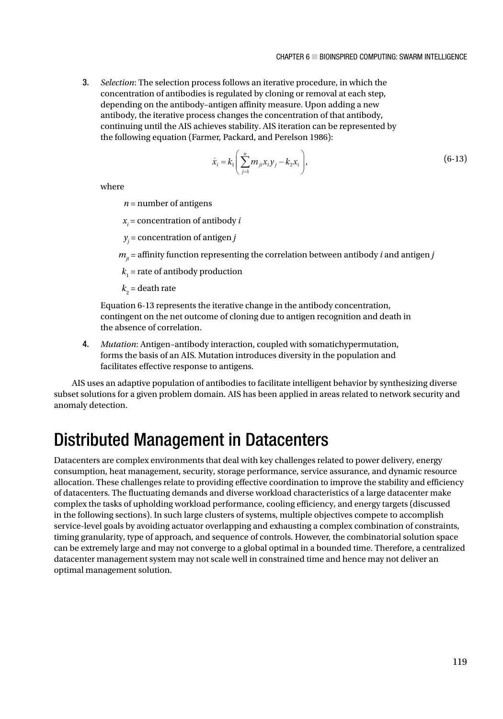3. *Selection*: The selection process follows an iterative procedure, in which the concentration of antibodies is regulated by cloning or removal at each step, depending on the antibody–antigen affinity measure. Upon adding a new antibody, the iterative process changes the concentration of that antibody, continuing until the AIS achieves stability. AIS iteration can be represented by the following equation (Farmer, Packard, and Perelson 1986):

$$
\dot{x}_i = k_1 \left( \sum_{j=1}^n m_{ji} x_i y_j - k_2 x_i \right),
$$
\n(6-13)

where

 $n =$  number of antigens

 $x_i$  = concentration of antibody *i* 

*yj* = concentration of antigen *j*

 $m_{ij}$  = affinity function representing the correlation between antibody *i* and antigen *j* 

 $k_{\text{\tiny{l}}}$  = rate of antibody production

 $k_{2}$  = death rate

Equation 6-13 represents the iterative change in the antibody concentration, contingent on the net outcome of cloning due to antigen recognition and death in the absence of correlation.

4. *Mutation*: Antigen–antibody interaction, coupled with somatichypermutation, forms the basis of an AIS. Mutation introduces diversity in the population and facilitates effective response to antigens.

AIS uses an adaptive population of antibodies to facilitate intelligent behavior by synthesizing diverse subset solutions for a given problem domain. AIS has been applied in areas related to network security and anomaly detection.

# Distributed Management in Datacenters

Datacenters are complex environments that deal with key challenges related to power delivery, energy consumption, heat management, security, storage performance, service assurance, and dynamic resource allocation. These challenges relate to providing effective coordination to improve the stability and efficiency of datacenters. The fluctuating demands and diverse workload characteristics of a large datacenter make complex the tasks of upholding workload performance, cooling efficiency, and energy targets (discussed in the following sections). In such large clusters of systems, multiple objectives compete to accomplish service-level goals by avoiding actuator overlapping and exhausting a complex combination of constraints, timing granularity, type of approach, and sequence of controls. However, the combinatorial solution space can be extremely large and may not converge to a global optimal in a bounded time. Therefore, a centralized datacenter management system may not scale well in constrained time and hence may not deliver an optimal management solution.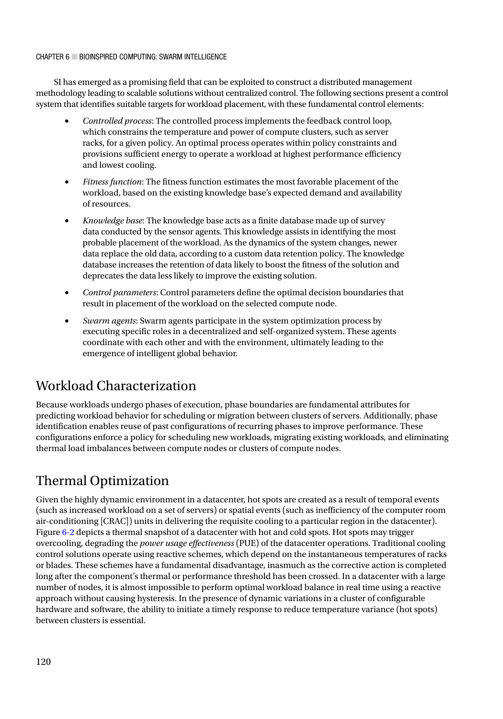SI has emerged as a promising field that can be exploited to construct a distributed management methodology leading to scalable solutions without centralized control. The following sections present a control system that identifies suitable targets for workload placement, with these fundamental control elements:

- Controlled process: The controlled process implements the feedback control loop, which constrains the temperature and power of compute clusters, such as server racks, for a given policy. An optimal process operates within policy constraints and provisions sufficient energy to operate a workload at highest performance efficiency and lowest cooling.
- Fitness function: The fitness function estimates the most favorable placement of the workload, based on the existing knowledge base's expected demand and availability of resources.
- Knowledge base: The knowledge base acts as a finite database made up of survey data conducted by the sensor agents. This knowledge assists in identifying the most probable placement of the workload. As the dynamics of the system changes, newer data replace the old data, according to a custom data retention policy. The knowledge database increases the retention of data likely to boost the fitness of the solution and deprecates the data less likely to improve the existing solution.
- • *Control parameters*: Control parameters define the optimal decision boundaries that result in placement of the workload on the selected compute node.
- *Swarm agents*: Swarm agents participate in the system optimization process by executing specific roles in a decentralized and self-organized system. These agents coordinate with each other and with the environment, ultimately leading to the emergence of intelligent global behavior.

## Workload Characterization

Because workloads undergo phases of execution, phase boundaries are fundamental attributes for predicting workload behavior for scheduling or migration between clusters of servers. Additionally, phase identification enables reuse of past configurations of recurring phases to improve performance. These configurations enforce a policy for scheduling new workloads, migrating existing workloads, and eliminating thermal load imbalances between compute nodes or clusters of compute nodes.

## Thermal Optimization

Given the highly dynamic environment in a datacenter, hot spots are created as a result of temporal events (such as increased workload on a set of servers) or spatial events (such as inefficiency of the computer room air-conditioning [CRAC]) units in delivering the requisite cooling to a particular region in the datacenter). Figure [6-2](#page-16-0) depicts a thermal snapshot of a datacenter with hot and cold spots. Hot spots may trigger overcooling, degrading the *power usage effectiveness* (PUE) of the datacenter operations. Traditional cooling control solutions operate using reactive schemes, which depend on the instantaneous temperatures of racks or blades. These schemes have a fundamental disadvantage, inasmuch as the corrective action is completed long after the component's thermal or performance threshold has been crossed. In a datacenter with a large number of nodes, it is almost impossible to perform optimal workload balance in real time using a reactive approach without causing hysteresis. In the presence of dynamic variations in a cluster of configurable hardware and software, the ability to initiate a timely response to reduce temperature variance (hot spots) between clusters is essential.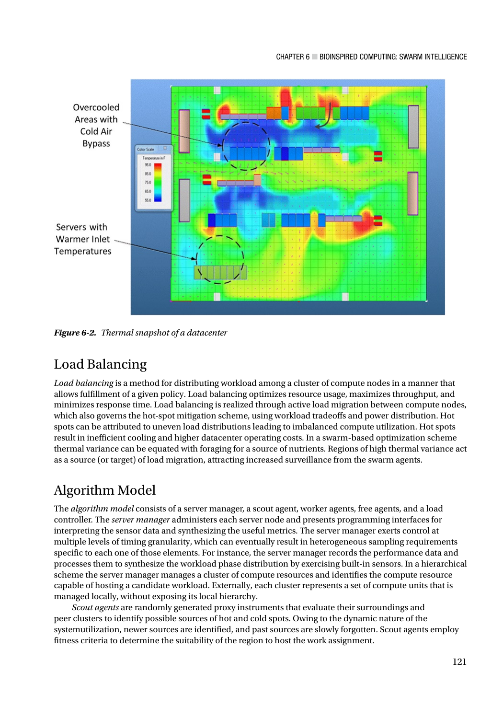<span id="page-16-0"></span>

*Figure 6-2. Thermal snapshot of a datacenter*

# Load Balancing

*Load balancing* is a method for distributing workload among a cluster of compute nodes in a manner that allows fulfillment of a given policy. Load balancing optimizes resource usage, maximizes throughput, and minimizes response time. Load balancing is realized through active load migration between compute nodes, which also governs the hot-spot mitigation scheme, using workload tradeoffs and power distribution. Hot spots can be attributed to uneven load distributions leading to imbalanced compute utilization. Hot spots result in inefficient cooling and higher datacenter operating costs. In a swarm-based optimization scheme thermal variance can be equated with foraging for a source of nutrients. Regions of high thermal variance act as a source (or target) of load migration, attracting increased surveillance from the swarm agents.

# Algorithm Model

The *algorithm model* consists of a server manager, a scout agent, worker agents, free agents, and a load controller. The *server manager* administers each server node and presents programming interfaces for interpreting the sensor data and synthesizing the useful metrics. The server manager exerts control at multiple levels of timing granularity, which can eventually result in heterogeneous sampling requirements specific to each one of those elements. For instance, the server manager records the performance data and processes them to synthesize the workload phase distribution by exercising built-in sensors. In a hierarchical scheme the server manager manages a cluster of compute resources and identifies the compute resource capable of hosting a candidate workload. Externally, each cluster represents a set of compute units that is managed locally, without exposing its local hierarchy.

*Scout agents* are randomly generated proxy instruments that evaluate their surroundings and peer clusters to identify possible sources of hot and cold spots. Owing to the dynamic nature of the systemutilization, newer sources are identified, and past sources are slowly forgotten. Scout agents employ fitness criteria to determine the suitability of the region to host the work assignment.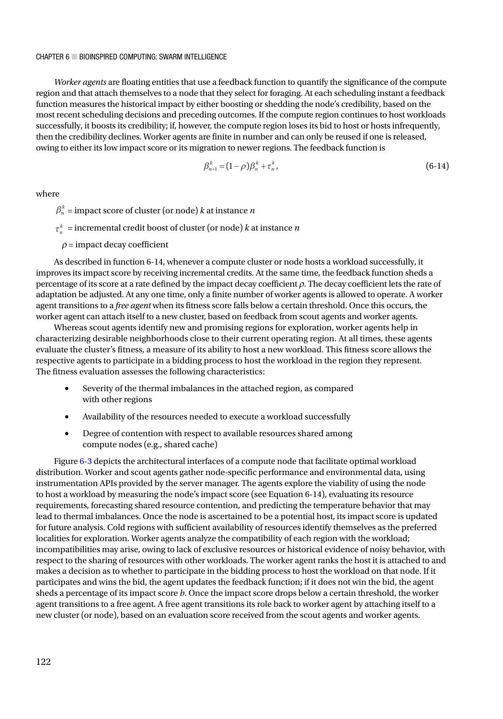*Worker agents* are floating entities that use a feedback function to quantify the significance of the compute region and that attach themselves to a node that they select for foraging. At each scheduling instant a feedback function measures the historical impact by either boosting or shedding the node's credibility, based on the most recent scheduling decisions and preceding outcomes. If the compute region continues to host workloads successfully, it boosts its credibility; if, however, the compute region loses its bid to host or hosts infrequently, then the credibility declines. Worker agents are finite in number and can only be reused if one is released, owing to either its low impact score or its migration to newer regions. The feedback function is

$$
\beta_{n+1}^k = (1 - \rho)\beta_n^k + \tau_n^k, \tag{6-14}
$$

where

 $\beta^{\,k}_{\,n}$  = impact score of cluster (or node)  $k$  at instance  $n$ 

 $\tau_n^k$  = incremental credit boost of cluster (or node) *k* at instance *n* 

 $\rho$  = impact decay coefficient

As described in function 6-14, whenever a compute cluster or node hosts a workload successfully, it improves its impact score by receiving incremental credits. At the same time, the feedback function sheds a percentage of its score at a rate defined by the impact decay coefficient  $\rho$ . The decay coefficient lets the rate of adaptation be adjusted. At any one time, only a finite number of worker agents is allowed to operate. A worker agent transitions to a *free agent* when its fitness score falls below a certain threshold. Once this occurs, the worker agent can attach itself to a new cluster, based on feedback from scout agents and worker agents.

Whereas scout agents identify new and promising regions for exploration, worker agents help in characterizing desirable neighborhoods close to their current operating region. At all times, these agents evaluate the cluster's fitness, a measure of its ability to host a new workload. This fitness score allows the respective agents to participate in a bidding process to host the workload in the region they represent. The fitness evaluation assesses the following characteristics:

- Severity of the thermal imbalances in the attached region, as compared with other regions
- Availability of the resources needed to execute a workload successfully
- Degree of contention with respect to available resources shared among compute nodes (e.g., shared cache)

Figure [6-3](#page-18-0) depicts the architectural interfaces of a compute node that facilitate optimal workload distribution. Worker and scout agents gather node-specific performance and environmental data, using instrumentation APIs provided by the server manager. The agents explore the viability of using the node to host a workload by measuring the node's impact score (see Equation 6-14), evaluating its resource requirements, forecasting shared resource contention, and predicting the temperature behavior that may lead to thermal imbalances. Once the node is ascertained to be a potential host, its impact score is updated for future analysis. Cold regions with sufficient availability of resources identify themselves as the preferred localities for exploration. Worker agents analyze the compatibility of each region with the workload; incompatibilities may arise, owing to lack of exclusive resources or historical evidence of noisy behavior, with respect to the sharing of resources with other workloads. The worker agent ranks the host it is attached to and makes a decision as to whether to participate in the bidding process to host the workload on that node. If it participates and wins the bid, the agent updates the feedback function; if it does not win the bid, the agent sheds a percentage of its impact score *b*. Once the impact score drops below a certain threshold, the worker agent transitions to a free agent. A free agent transitions its role back to worker agent by attaching itself to a new cluster (or node), based on an evaluation score received from the scout agents and worker agents.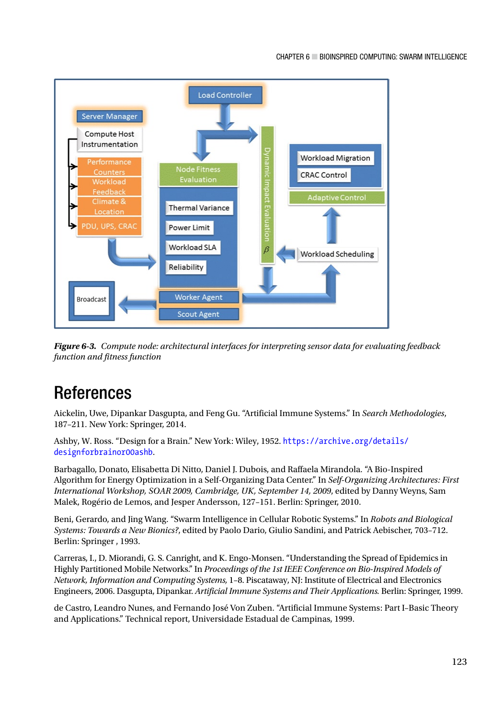<span id="page-18-0"></span>

*Figure 6-3. Compute node: architectural interfaces for interpreting sensor data for evaluating feedback function and fitness function*

# References

Aickelin, Uwe, Dipankar Dasgupta, and Feng Gu. "Artificial Immune Systems." In *Search Methodologies*, 187–211*.* New York: Springer, 2014.

Ashby, W. Ross. "Design for a Brain." New York: Wiley, 1952. [https://archive.org/details/](https://archive.org/details/designforbrainor00ashb) [designforbrainor00ashb](https://archive.org/details/designforbrainor00ashb).

Barbagallo, Donato, Elisabetta Di Nitto, Daniel J. Dubois, and Raffaela Mirandola. "A Bio-Inspired Algorithm for Energy Optimization in a Self-Organizing Data Center." In *Self-Organizing Architectures: First International Workshop, SOAR 2009, Cambridge, UK, September 14, 2009*, edited by Danny Weyns, Sam Malek, Rogério de Lemos, and Jesper Andersson, 127–151. Berlin: Springer, 2010.

Beni, Gerardo, and Jing Wang. "Swarm Intelligence in Cellular Robotic Systems." In *Robots and Biological Systems: Towards a New Bionics?*, edited by Paolo Dario, Giulio Sandini, and Patrick Aebischer, 703–712. Berlin: Springer , 1993.

Carreras, I., D. Miorandi, G. S. Canright, and K. Engo-Monsen. "Understanding the Spread of Epidemics in Highly Partitioned Mobile Networks." In *Proceedings of the 1st IEEE Conference on Bio-Inspired Models of Network, Information and Computing Systems,* 1–8. Piscataway, NJ: Institute of Electrical and Electronics Engineers, 2006. Dasgupta, Dipankar. *Artificial Immune Systems and Their Applications.* Berlin: Springer, 1999.

de Castro, Leandro Nunes, and Fernando José Von Zuben. "Artificial Immune Systems: Part I–Basic Theory and Applications." Technical report, Universidade Estadual de Campinas, 1999.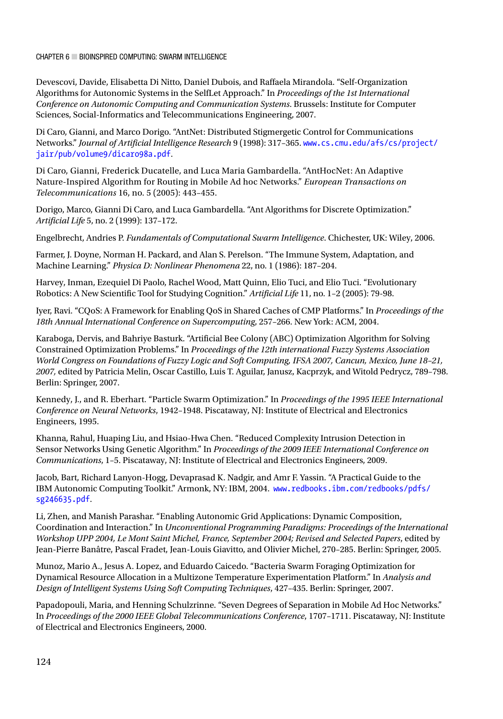Devescovi, Davide, Elisabetta Di Nitto, Daniel Dubois, and Raffaela Mirandola. "Self-Organization Algorithms for Autonomic Systems in the SelfLet Approach." In *Proceedings of the 1st International Conference on Autonomic Computing and Communication Systems*. Brussels: Institute for Computer Sciences, Social-Informatics and Telecommunications Engineering, 2007.

Di Caro, Gianni, and Marco Dorigo. "AntNet: Distributed Stigmergetic Control for Communications Networks." *Journal of Artificial Intelligence Research* 9 (1998): 317–365. [www.cs.cmu.edu/afs/cs/project/](http://www.cs.cmu.edu/afs/cs/project/jair/pub/volume9/dicaro98a.pdf) [jair/pub/volume9/dicaro98a.pdf](http://www.cs.cmu.edu/afs/cs/project/jair/pub/volume9/dicaro98a.pdf).

Di Caro, Gianni, Frederick Ducatelle, and Luca Maria Gambardella. "AntHocNet: An Adaptive Nature-Inspired Algorithm for Routing in Mobile Ad hoc Networks." *European Transactions on Telecommunications* 16, no. 5 (2005): 443–455.

Dorigo, Marco, Gianni Di Caro, and Luca Gambardella. "Ant Algorithms for Discrete Optimization." *Artificial Life* 5, no. 2 (1999): 137–172.

Engelbrecht, Andries P. *Fundamentals of Computational Swarm Intelligence*. Chichester, UK: Wiley, 2006.

Farmer, J. Doyne, Norman H. Packard, and Alan S. Perelson. "The Immune System, Adaptation, and Machine Learning." *Physica D: Nonlinear Phenomena* 22, no. 1 (1986): 187–204.

Harvey, Inman, Ezequiel Di Paolo, Rachel Wood, Matt Quinn, Elio Tuci, and Elio Tuci. "Evolutionary Robotics: A New Scientific Tool for Studying Cognition." *Artificial Life* 11, no. 1–2 (2005): 79-98.

Iyer, Ravi. "CQoS: A Framework for Enabling QoS in Shared Caches of CMP Platforms." In *Proceedings of the 18th Annual International Conference on Supercomputing*, 257–266. New York: ACM, 2004.

Karaboga, Dervis, and Bahriye Basturk. "Artificial Bee Colony (ABC) Optimization Algorithm for Solving Constrained Optimization Problems." In *Proceedings of the 12th international Fuzzy Systems Association World Congress on Foundations of Fuzzy Logic and Soft Computing, IFSA 2007, Cancun, Mexico, June 18–21, 2007,* edited by Patricia Melin, Oscar Castillo, Luis T. Aguilar, Janusz, Kacprzyk, and Witold Pedrycz, 789–798. Berlin: Springer, 2007.

Kennedy, J., and R. Eberhart. "Particle Swarm Optimization." In *Proceedings of the 1995 IEEE International Conference on Neural Networks*, 1942–1948. Piscataway, NJ: Institute of Electrical and Electronics Engineers, 1995.

Khanna, Rahul, Huaping Liu, and Hsiao-Hwa Chen. "Reduced Complexity Intrusion Detection in Sensor Networks Using Genetic Algorithm." In *Proceedings of the 2009 IEEE International Conference on Communications*, 1–5. Piscataway, NJ: Institute of Electrical and Electronics Engineers, 2009.

Jacob, Bart, Richard Lanyon-Hogg, Devaprasad K. Nadgir, and Amr F. Yassin. "A Practical Guide to the IBM Autonomic Computing Toolkit." Armonk, NY: IBM, 2004. [www.redbooks.ibm.com/redbooks/pdfs/](www.redbooks.ibm.com/redbooks/pdfs/sg246635.pdf) [sg246635.pdf](www.redbooks.ibm.com/redbooks/pdfs/sg246635.pdf).

Li, Zhen, and Manish Parashar. "Enabling Autonomic Grid Applications: Dynamic Composition, Coordination and Interaction." In *Unconventional Programming Paradigms: Proceedings of the International Workshop UPP 2004, Le Mont Saint Michel, France, September 2004; Revised and Selected Papers*, edited by Jean-Pierre Banâtre, Pascal Fradet, Jean-Louis Giavitto, and Olivier Michel, 270–285. Berlin: Springer, 2005.

Munoz, Mario A., Jesus A. Lopez, and Eduardo Caicedo. "Bacteria Swarm Foraging Optimization for Dynamical Resource Allocation in a Multizone Temperature Experimentation Platform." In *Analysis and Design of Intelligent Systems Using Soft Computing Techniques*, 427–435. Berlin: Springer, 2007.

Papadopouli, Maria, and Henning Schulzrinne. "Seven Degrees of Separation in Mobile Ad Hoc Networks." In *Proceedings of the 2000 IEEE Global Telecommunications Conference*, 1707–1711. Piscataway, NJ: Institute of Electrical and Electronics Engineers, 2000.